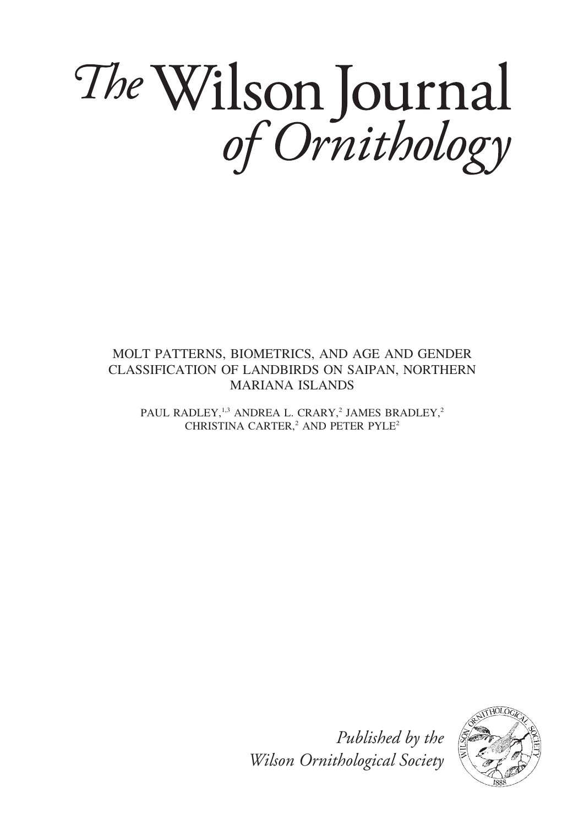# The Wilson Journal

# MOLT PATTERNS, BIOMETRICS, AND AGE AND GENDER CLASSIFICATION OF LANDBIRDS ON SAIPAN, NORTHERN MARIANA ISLANDS

PAUL RADLEY,<sup>1,3</sup> ANDREA L. CRARY,<sup>2</sup> JAMES BRADLEY,<sup>2</sup> CHRISTINA CARTER,<sup>2</sup> AND PETER PYLE<sup>2</sup>



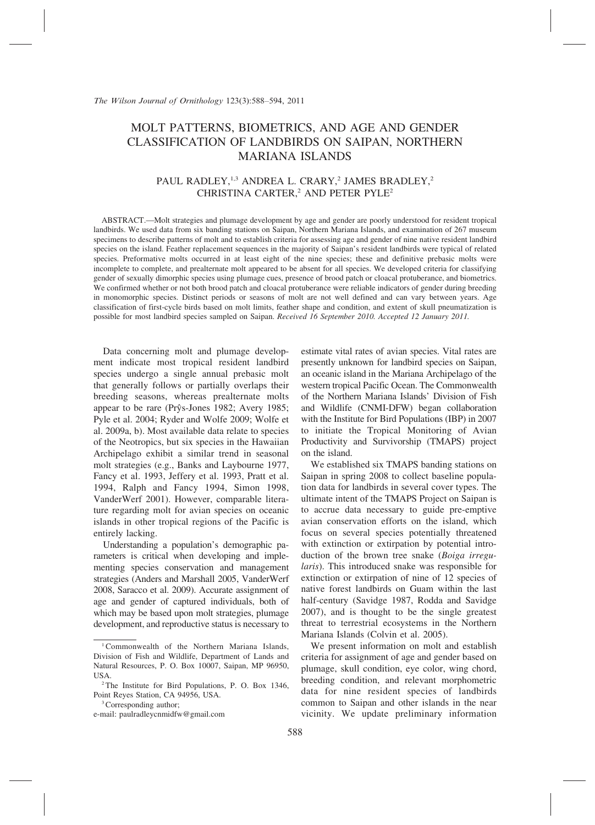# MOLT PATTERNS, BIOMETRICS, AND AGE AND GENDER CLASSIFICATION OF LANDBIRDS ON SAIPAN, NORTHERN MARIANA ISLANDS

## PAUL RADLEY,<sup>1,3</sup> ANDREA L. CRARY,<sup>2</sup> JAMES BRADLEY,<sup>2</sup> CHRISTINA CARTER,<sup>2</sup> AND PETER PYLE<sup>2</sup>

ABSTRACT.—Molt strategies and plumage development by age and gender are poorly understood for resident tropical landbirds. We used data from six banding stations on Saipan, Northern Mariana Islands, and examination of 267 museum specimens to describe patterns of molt and to establish criteria for assessing age and gender of nine native resident landbird species on the island. Feather replacement sequences in the majority of Saipan's resident landbirds were typical of related species. Preformative molts occurred in at least eight of the nine species; these and definitive prebasic molts were incomplete to complete, and prealternate molt appeared to be absent for all species. We developed criteria for classifying gender of sexually dimorphic species using plumage cues, presence of brood patch or cloacal protuberance, and biometrics. We confirmed whether or not both brood patch and cloacal protuberance were reliable indicators of gender during breeding in monomorphic species. Distinct periods or seasons of molt are not well defined and can vary between years. Age classification of first-cycle birds based on molt limits, feather shape and condition, and extent of skull pneumatization is possible for most landbird species sampled on Saipan. Received 16 September 2010. Accepted 12 January 2011.

Data concerning molt and plumage development indicate most tropical resident landbird species undergo a single annual prebasic molt that generally follows or partially overlaps their breeding seasons, whereas prealternate molts appear to be rare (Prŷs-Jones 1982; Avery 1985; Pyle et al. 2004; Ryder and Wolfe 2009; Wolfe et al. 2009a, b). Most available data relate to species of the Neotropics, but six species in the Hawaiian Archipelago exhibit a similar trend in seasonal molt strategies (e.g., Banks and Laybourne 1977, Fancy et al. 1993, Jeffery et al. 1993, Pratt et al. 1994, Ralph and Fancy 1994, Simon 1998, VanderWerf 2001). However, comparable literature regarding molt for avian species on oceanic islands in other tropical regions of the Pacific is entirely lacking.

Understanding a population's demographic parameters is critical when developing and implementing species conservation and management strategies (Anders and Marshall 2005, VanderWerf 2008, Saracco et al. 2009). Accurate assignment of age and gender of captured individuals, both of which may be based upon molt strategies, plumage development, and reproductive status is necessary to

<sup>3</sup> Corresponding author;

estimate vital rates of avian species. Vital rates are presently unknown for landbird species on Saipan, an oceanic island in the Mariana Archipelago of the western tropical Pacific Ocean. The Commonwealth of the Northern Mariana Islands' Division of Fish and Wildlife (CNMI-DFW) began collaboration with the Institute for Bird Populations (IBP) in 2007 to initiate the Tropical Monitoring of Avian Productivity and Survivorship (TMAPS) project on the island.

We established six TMAPS banding stations on Saipan in spring 2008 to collect baseline population data for landbirds in several cover types. The ultimate intent of the TMAPS Project on Saipan is to accrue data necessary to guide pre-emptive avian conservation efforts on the island, which focus on several species potentially threatened with extinction or extirpation by potential introduction of the brown tree snake (Boiga irregularis). This introduced snake was responsible for extinction or extirpation of nine of 12 species of native forest landbirds on Guam within the last half-century (Savidge 1987, Rodda and Savidge 2007), and is thought to be the single greatest threat to terrestrial ecosystems in the Northern Mariana Islands (Colvin et al. 2005).

We present information on molt and establish criteria for assignment of age and gender based on plumage, skull condition, eye color, wing chord, breeding condition, and relevant morphometric data for nine resident species of landbirds common to Saipan and other islands in the near vicinity. We update preliminary information

<sup>1</sup> Commonwealth of the Northern Mariana Islands, Division of Fish and Wildlife, Department of Lands and Natural Resources, P. O. Box 10007, Saipan, MP 96950, USA.

<sup>2</sup> The Institute for Bird Populations, P. O. Box 1346, Point Reyes Station, CA 94956, USA.

e-mail: paulradleycnmidfw@gmail.com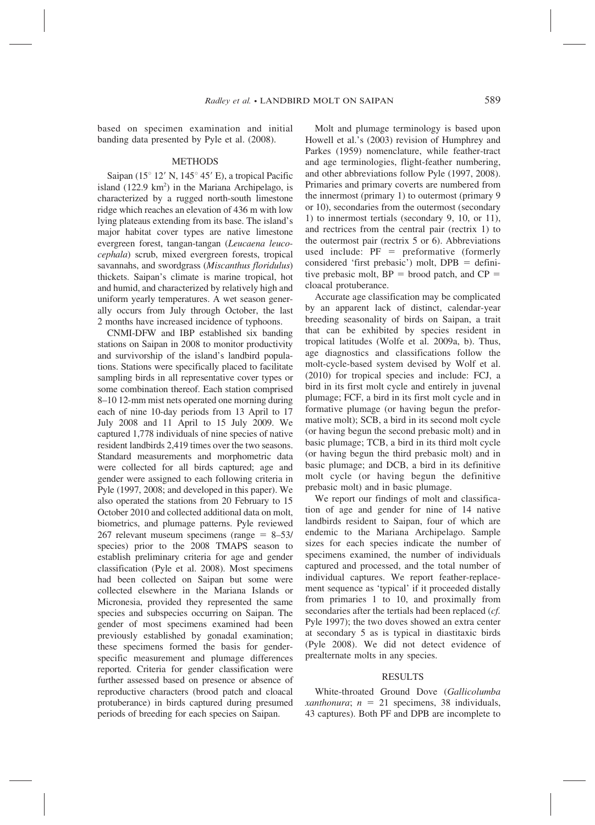based on specimen examination and initial banding data presented by Pyle et al. (2008).

### **METHODS**

Saipan (15 $\degree$  12' N, 145 $\degree$  45' E), a tropical Pacific island  $(122.9 \text{ km}^2)$  in the Mariana Archipelago, is characterized by a rugged north-south limestone ridge which reaches an elevation of 436 m with low lying plateaus extending from its base. The island's major habitat cover types are native limestone evergreen forest, tangan-tangan (Leucaena leucocephala) scrub, mixed evergreen forests, tropical savannahs, and swordgrass (Miscanthus floridulus) thickets. Saipan's climate is marine tropical, hot and humid, and characterized by relatively high and uniform yearly temperatures. A wet season generally occurs from July through October, the last 2 months have increased incidence of typhoons.

CNMI-DFW and IBP established six banding stations on Saipan in 2008 to monitor productivity and survivorship of the island's landbird populations. Stations were specifically placed to facilitate sampling birds in all representative cover types or some combination thereof. Each station comprised 8–10 12-mm mist nets operated one morning during each of nine 10-day periods from 13 April to 17 July 2008 and 11 April to 15 July 2009. We captured 1,778 individuals of nine species of native resident landbirds 2,419 times over the two seasons. Standard measurements and morphometric data were collected for all birds captured; age and gender were assigned to each following criteria in Pyle (1997, 2008; and developed in this paper). We also operated the stations from 20 February to 15 October 2010 and collected additional data on molt, biometrics, and plumage patterns. Pyle reviewed 267 relevant museum specimens (range  $= 8-53/$ species) prior to the 2008 TMAPS season to establish preliminary criteria for age and gender classification (Pyle et al. 2008). Most specimens had been collected on Saipan but some were collected elsewhere in the Mariana Islands or Micronesia, provided they represented the same species and subspecies occurring on Saipan. The gender of most specimens examined had been previously established by gonadal examination; these specimens formed the basis for genderspecific measurement and plumage differences reported. Criteria for gender classification were further assessed based on presence or absence of reproductive characters (brood patch and cloacal protuberance) in birds captured during presumed periods of breeding for each species on Saipan.

Molt and plumage terminology is based upon Howell et al.'s (2003) revision of Humphrey and Parkes (1959) nomenclature, while feather-tract and age terminologies, flight-feather numbering, and other abbreviations follow Pyle (1997, 2008). Primaries and primary coverts are numbered from the innermost (primary 1) to outermost (primary 9 or 10), secondaries from the outermost (secondary 1) to innermost tertials (secondary 9, 10, or 11), and rectrices from the central pair (rectrix 1) to the outermost pair (rectrix 5 or 6). Abbreviations used include:  $PF = preformative (formerly)$ considered 'first prebasic') molt,  $DPB = defini$ tive prebasic molt,  $BP = broad$  patch, and  $CP =$ cloacal protuberance.

Accurate age classification may be complicated by an apparent lack of distinct, calendar-year breeding seasonality of birds on Saipan, a trait that can be exhibited by species resident in tropical latitudes (Wolfe et al. 2009a, b). Thus, age diagnostics and classifications follow the molt-cycle-based system devised by Wolf et al. (2010) for tropical species and include: FCJ, a bird in its first molt cycle and entirely in juvenal plumage; FCF, a bird in its first molt cycle and in formative plumage (or having begun the preformative molt); SCB, a bird in its second molt cycle (or having begun the second prebasic molt) and in basic plumage; TCB, a bird in its third molt cycle (or having begun the third prebasic molt) and in basic plumage; and DCB, a bird in its definitive molt cycle (or having begun the definitive prebasic molt) and in basic plumage.

We report our findings of molt and classification of age and gender for nine of 14 native landbirds resident to Saipan, four of which are endemic to the Mariana Archipelago. Sample sizes for each species indicate the number of specimens examined, the number of individuals captured and processed, and the total number of individual captures. We report feather-replacement sequence as 'typical' if it proceeded distally from primaries 1 to 10, and proximally from secondaries after the tertials had been replaced (*cf.* Pyle 1997); the two doves showed an extra center at secondary 5 as is typical in diastitaxic birds (Pyle 2008). We did not detect evidence of prealternate molts in any species.

### RESULTS

White-throated Ground Dove (Gallicolumba xanthonura;  $n = 21$  specimens, 38 individuals, 43 captures). Both PF and DPB are incomplete to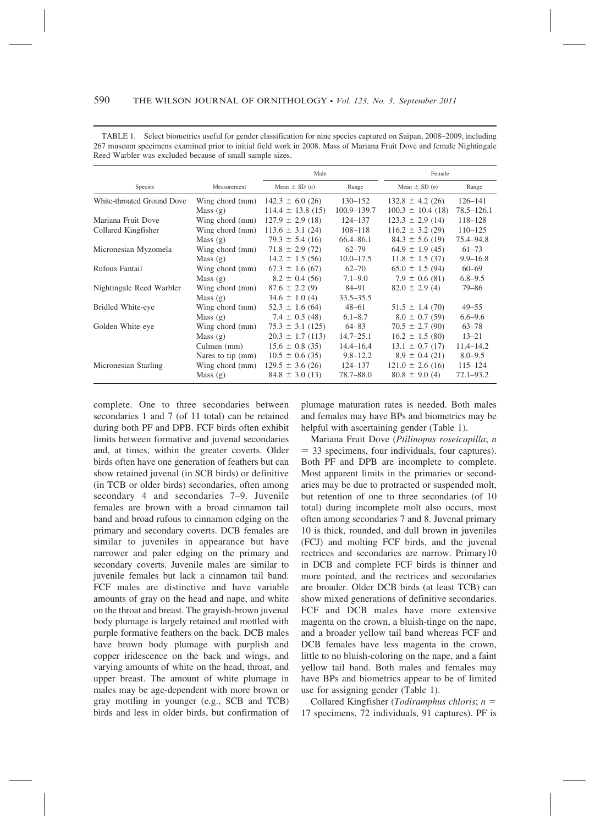|                            |                   | Male                  |               | Female                |                |
|----------------------------|-------------------|-----------------------|---------------|-----------------------|----------------|
| Species                    | Measurement       | Mean $\pm$ SD $(n)$   | Range         | Mean $\pm$ SD $(n)$   | Range          |
| White-throated Ground Dove | Wing chord (mm)   | $142.3 \pm 6.0$ (26)  | $130 - 152$   | $132.8 \pm 4.2$ (26)  | $126 - 141$    |
|                            | Mass $(g)$        | $114.4 \pm 13.8$ (15) | 100.9-139.7   | $100.3 \pm 10.4$ (18) | $78.5 - 126.1$ |
| Mariana Fruit Dove         | Wing chord (mm)   | $127.9 \pm 2.9$ (18)  | $124 - 137$   | $123.3 \pm 2.9$ (14)  | 118-128        |
| Collared Kingfisher        | Wing chord (mm)   | $113.6 \pm 3.1$ (24)  | $108 - 118$   | $116.2 \pm 3.2$ (29)  | $110 - 125$    |
|                            | Mass $(g)$        | $79.3 \pm 5.4(16)$    | 66.4–86.1     | $84.3 \pm 5.6$ (19)   | 75.4-94.8      |
| Micronesian Myzomela       | Wing chord (mm)   | $71.8 \pm 2.9$ (72)   | $62 - 79$     | $64.9 \pm 1.9$ (45)   | $61 - 73$      |
|                            | Mass $(g)$        | $14.2 \pm 1.5(56)$    | $10.0 - 17.5$ | $11.8 \pm 1.5$ (37)   | $9.9 - 16.8$   |
| Rufous Fantail             | Wing chord (mm)   | $67.3 \pm 1.6$ (67)   | $62 - 70$     | $65.0 \pm 1.5$ (94)   | $60 - 69$      |
|                            | Mass $(g)$        | $8.2 \pm 0.4$ (56)    | $7.1 - 9.0$   | $7.9 \pm 0.6$ (81)    | $6.8 - 9.5$    |
| Nightingale Reed Warbler   | Wing chord (mm)   | $87.6 \pm 2.2$ (9)    | 84-91         | $82.0 \pm 2.9$ (4)    | $79 - 86$      |
|                            | Mass $(g)$        | $34.6 \pm 1.0$ (4)    | $33.5 - 35.5$ |                       |                |
| Bridled White-eye          | Wing chord (mm)   | $52.3 \pm 1.6$ (64)   | $48 - 61$     | $51.5 \pm 1.4(70)$    | $49 - 55$      |
|                            | Mass $(g)$        | $7.4 \pm 0.5$ (48)    | $6.1 - 8.7$   | $8.0 \pm 0.7$ (59)    | $6.6 - 9.6$    |
| Golden White-eye           | Wing chord (mm)   | $75.3 \pm 3.1$ (125)  | $64 - 83$     | $70.5 \pm 2.7(90)$    | $63 - 78$      |
|                            | Mass $(g)$        | $20.3 \pm 1.7$ (113)  | $14.7 - 25.1$ | $16.2 \pm 1.5(80)$    | $13 - 21$      |
|                            | Culmen (mm)       | $15.6 \pm 0.8$ (35)   | $14.4 - 16.4$ | $13.1 \pm 0.7$ (17)   | $11.4 - 14.2$  |
|                            | Nares to tip (mm) | $10.5 \pm 0.6$ (35)   | $9.8 - 12.2$  | $8.9 \pm 0.4$ (21)    | $8.0 - 9.5$    |
| Micronesian Starling       | Wing chord (mm)   | $129.5 \pm 3.6$ (26)  | 124–137       | $121.0 \pm 2.6$ (16)  | $115 - 124$    |
|                            | Mass $(g)$        | $84.8 \pm 3.0$ (13)   | $78.7 - 88.0$ | $80.8 \pm 9.0(4)$     | $72.1 - 93.2$  |

TABLE 1. Select biometrics useful for gender classification for nine species captured on Saipan, 2008–2009, including 267 museum specimens examined prior to initial field work in 2008. Mass of Mariana Fruit Dove and female Nightingale Reed Warbler was excluded because of small sample sizes.

complete. One to three secondaries between secondaries 1 and 7 (of 11 total) can be retained during both PF and DPB. FCF birds often exhibit limits between formative and juvenal secondaries and, at times, within the greater coverts. Older birds often have one generation of feathers but can show retained juvenal (in SCB birds) or definitive (in TCB or older birds) secondaries, often among secondary 4 and secondaries 7–9. Juvenile females are brown with a broad cinnamon tail band and broad rufous to cinnamon edging on the primary and secondary coverts. DCB females are similar to juveniles in appearance but have narrower and paler edging on the primary and secondary coverts. Juvenile males are similar to juvenile females but lack a cinnamon tail band. FCF males are distinctive and have variable amounts of gray on the head and nape, and white on the throat and breast. The grayish-brown juvenal body plumage is largely retained and mottled with purple formative feathers on the back. DCB males have brown body plumage with purplish and copper iridescence on the back and wings, and varying amounts of white on the head, throat, and upper breast. The amount of white plumage in males may be age-dependent with more brown or gray mottling in younger (e.g., SCB and TCB) birds and less in older birds, but confirmation of plumage maturation rates is needed. Both males and females may have BPs and biometrics may be helpful with ascertaining gender (Table 1).

Mariana Fruit Dove (Ptilinopus roseicapilla; n  $=$  33 specimens, four individuals, four captures). Both PF and DPB are incomplete to complete. Most apparent limits in the primaries or secondaries may be due to protracted or suspended molt, but retention of one to three secondaries (of 10 total) during incomplete molt also occurs, most often among secondaries 7 and 8. Juvenal primary 10 is thick, rounded, and dull brown in juveniles (FCJ) and molting FCF birds, and the juvenal rectrices and secondaries are narrow. Primary10 in DCB and complete FCF birds is thinner and more pointed, and the rectrices and secondaries are broader. Older DCB birds (at least TCB) can show mixed generations of definitive secondaries. FCF and DCB males have more extensive magenta on the crown, a bluish-tinge on the nape, and a broader yellow tail band whereas FCF and DCB females have less magenta in the crown, little to no bluish-coloring on the nape, and a faint yellow tail band. Both males and females may have BPs and biometrics appear to be of limited use for assigning gender (Table 1).

Collared Kingfisher (*Todiramphus chloris*;  $n =$ 17 specimens, 72 individuals, 91 captures). PF is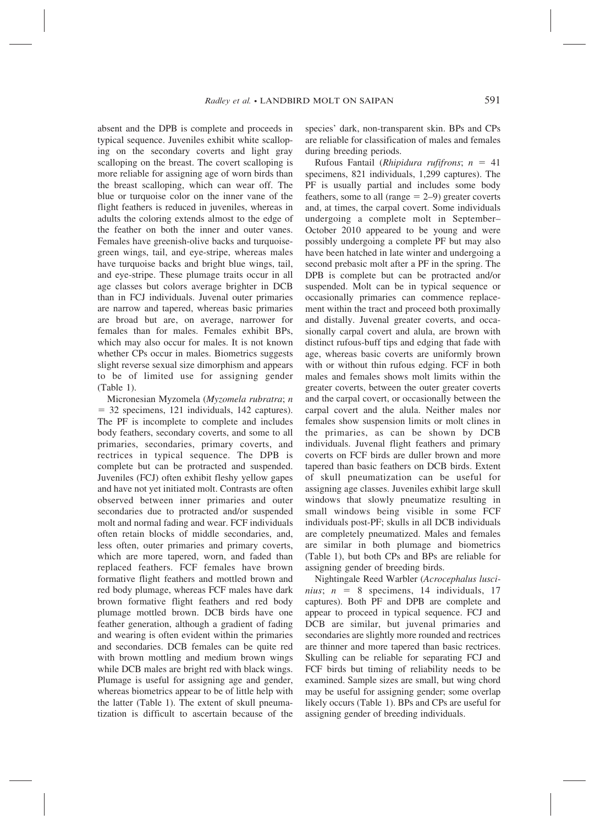absent and the DPB is complete and proceeds in typical sequence. Juveniles exhibit white scalloping on the secondary coverts and light gray scalloping on the breast. The covert scalloping is more reliable for assigning age of worn birds than the breast scalloping, which can wear off. The blue or turquoise color on the inner vane of the flight feathers is reduced in juveniles, whereas in adults the coloring extends almost to the edge of the feather on both the inner and outer vanes. Females have greenish-olive backs and turquoisegreen wings, tail, and eye-stripe, whereas males have turquoise backs and bright blue wings, tail, and eye-stripe. These plumage traits occur in all age classes but colors average brighter in DCB than in FCJ individuals. Juvenal outer primaries are narrow and tapered, whereas basic primaries are broad but are, on average, narrower for females than for males. Females exhibit BPs, which may also occur for males. It is not known whether CPs occur in males. Biometrics suggests slight reverse sexual size dimorphism and appears to be of limited use for assigning gender (Table 1).

Micronesian Myzomela (Myzomela rubratra; n 5 32 specimens, 121 individuals, 142 captures). The PF is incomplete to complete and includes body feathers, secondary coverts, and some to all primaries, secondaries, primary coverts, and rectrices in typical sequence. The DPB is complete but can be protracted and suspended. Juveniles (FCJ) often exhibit fleshy yellow gapes and have not yet initiated molt. Contrasts are often observed between inner primaries and outer secondaries due to protracted and/or suspended molt and normal fading and wear. FCF individuals often retain blocks of middle secondaries, and, less often, outer primaries and primary coverts, which are more tapered, worn, and faded than replaced feathers. FCF females have brown formative flight feathers and mottled brown and red body plumage, whereas FCF males have dark brown formative flight feathers and red body plumage mottled brown. DCB birds have one feather generation, although a gradient of fading and wearing is often evident within the primaries and secondaries. DCB females can be quite red with brown mottling and medium brown wings while DCB males are bright red with black wings. Plumage is useful for assigning age and gender, whereas biometrics appear to be of little help with the latter (Table 1). The extent of skull pneumatization is difficult to ascertain because of the

species' dark, non-transparent skin. BPs and CPs are reliable for classification of males and females during breeding periods.

Rufous Fantail (*Rhipidura rufifrons*;  $n = 41$ specimens, 821 individuals, 1,299 captures). The PF is usually partial and includes some body feathers, some to all (range  $= 2-9$ ) greater coverts and, at times, the carpal covert. Some individuals undergoing a complete molt in September– October 2010 appeared to be young and were possibly undergoing a complete PF but may also have been hatched in late winter and undergoing a second prebasic molt after a PF in the spring. The DPB is complete but can be protracted and/or suspended. Molt can be in typical sequence or occasionally primaries can commence replacement within the tract and proceed both proximally and distally. Juvenal greater coverts, and occasionally carpal covert and alula, are brown with distinct rufous-buff tips and edging that fade with age, whereas basic coverts are uniformly brown with or without thin rufous edging. FCF in both males and females shows molt limits within the greater coverts, between the outer greater coverts and the carpal covert, or occasionally between the carpal covert and the alula. Neither males nor females show suspension limits or molt clines in the primaries, as can be shown by DCB individuals. Juvenal flight feathers and primary coverts on FCF birds are duller brown and more tapered than basic feathers on DCB birds. Extent of skull pneumatization can be useful for assigning age classes. Juveniles exhibit large skull windows that slowly pneumatize resulting in small windows being visible in some FCF individuals post-PF; skulls in all DCB individuals are completely pneumatized. Males and females are similar in both plumage and biometrics (Table 1), but both CPs and BPs are reliable for assigning gender of breeding birds.

Nightingale Reed Warbler (Acrocephalus luscinius;  $n = 8$  specimens, 14 individuals, 17 captures). Both PF and DPB are complete and appear to proceed in typical sequence. FCJ and DCB are similar, but juvenal primaries and secondaries are slightly more rounded and rectrices are thinner and more tapered than basic rectrices. Skulling can be reliable for separating FCJ and FCF birds but timing of reliability needs to be examined. Sample sizes are small, but wing chord may be useful for assigning gender; some overlap likely occurs (Table 1). BPs and CPs are useful for assigning gender of breeding individuals.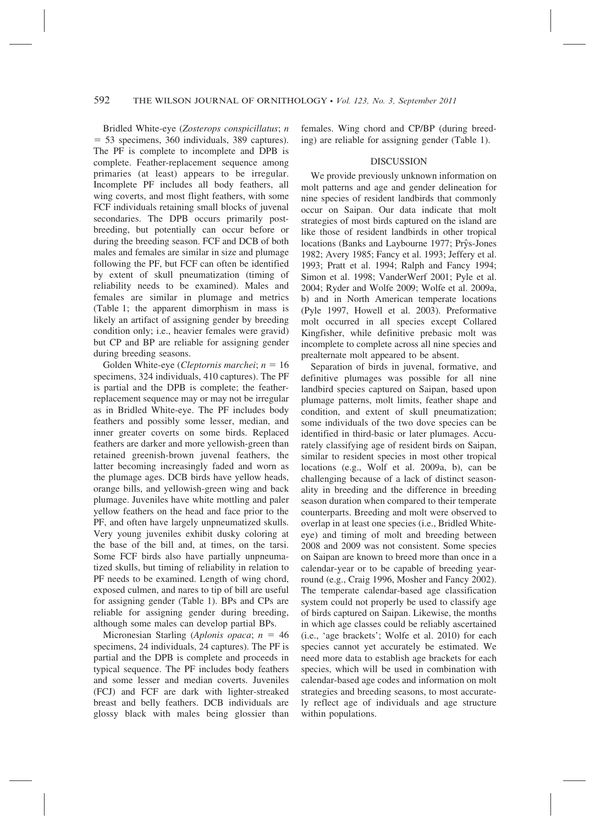Bridled White-eye (Zosterops conspicillatus; n  $= 53$  specimens, 360 individuals, 389 captures). The PF is complete to incomplete and DPB is complete. Feather-replacement sequence among primaries (at least) appears to be irregular. Incomplete PF includes all body feathers, all wing coverts, and most flight feathers, with some FCF individuals retaining small blocks of juvenal secondaries. The DPB occurs primarily postbreeding, but potentially can occur before or during the breeding season. FCF and DCB of both males and females are similar in size and plumage following the PF, but FCF can often be identified by extent of skull pneumatization (timing of reliability needs to be examined). Males and females are similar in plumage and metrics (Table 1; the apparent dimorphism in mass is likely an artifact of assigning gender by breeding condition only; i.e., heavier females were gravid) but CP and BP are reliable for assigning gender during breeding seasons.

Golden White-eye (*Cleptornis marchei*;  $n = 16$ specimens, 324 individuals, 410 captures). The PF is partial and the DPB is complete; the featherreplacement sequence may or may not be irregular as in Bridled White-eye. The PF includes body feathers and possibly some lesser, median, and inner greater coverts on some birds. Replaced feathers are darker and more yellowish-green than retained greenish-brown juvenal feathers, the latter becoming increasingly faded and worn as the plumage ages. DCB birds have yellow heads, orange bills, and yellowish-green wing and back plumage. Juveniles have white mottling and paler yellow feathers on the head and face prior to the PF, and often have largely unpneumatized skulls. Very young juveniles exhibit dusky coloring at the base of the bill and, at times, on the tarsi. Some FCF birds also have partially unpneumatized skulls, but timing of reliability in relation to PF needs to be examined. Length of wing chord, exposed culmen, and nares to tip of bill are useful for assigning gender (Table 1). BPs and CPs are reliable for assigning gender during breeding, although some males can develop partial BPs.

Micronesian Starling (Aplonis opaca;  $n = 46$ specimens, 24 individuals, 24 captures). The PF is partial and the DPB is complete and proceeds in typical sequence. The PF includes body feathers and some lesser and median coverts. Juveniles (FCJ) and FCF are dark with lighter-streaked breast and belly feathers. DCB individuals are glossy black with males being glossier than females. Wing chord and CP/BP (during breeding) are reliable for assigning gender (Table 1).

### DISCUSSION

We provide previously unknown information on molt patterns and age and gender delineation for nine species of resident landbirds that commonly occur on Saipan. Our data indicate that molt strategies of most birds captured on the island are like those of resident landbirds in other tropical locations (Banks and Laybourne 1977; Prŷs-Jones 1982; Avery 1985; Fancy et al. 1993; Jeffery et al. 1993; Pratt et al. 1994; Ralph and Fancy 1994; Simon et al. 1998; VanderWerf 2001; Pyle et al. 2004; Ryder and Wolfe 2009; Wolfe et al. 2009a, b) and in North American temperate locations (Pyle 1997, Howell et al. 2003). Preformative molt occurred in all species except Collared Kingfisher, while definitive prebasic molt was incomplete to complete across all nine species and prealternate molt appeared to be absent.

Separation of birds in juvenal, formative, and definitive plumages was possible for all nine landbird species captured on Saipan, based upon plumage patterns, molt limits, feather shape and condition, and extent of skull pneumatization; some individuals of the two dove species can be identified in third-basic or later plumages. Accurately classifying age of resident birds on Saipan, similar to resident species in most other tropical locations (e.g., Wolf et al. 2009a, b), can be challenging because of a lack of distinct seasonality in breeding and the difference in breeding season duration when compared to their temperate counterparts. Breeding and molt were observed to overlap in at least one species (i.e., Bridled Whiteeye) and timing of molt and breeding between 2008 and 2009 was not consistent. Some species on Saipan are known to breed more than once in a calendar-year or to be capable of breeding yearround (e.g., Craig 1996, Mosher and Fancy 2002). The temperate calendar-based age classification system could not properly be used to classify age of birds captured on Saipan. Likewise, the months in which age classes could be reliably ascertained (i.e., 'age brackets'; Wolfe et al. 2010) for each species cannot yet accurately be estimated. We need more data to establish age brackets for each species, which will be used in combination with calendar-based age codes and information on molt strategies and breeding seasons, to most accurately reflect age of individuals and age structure within populations.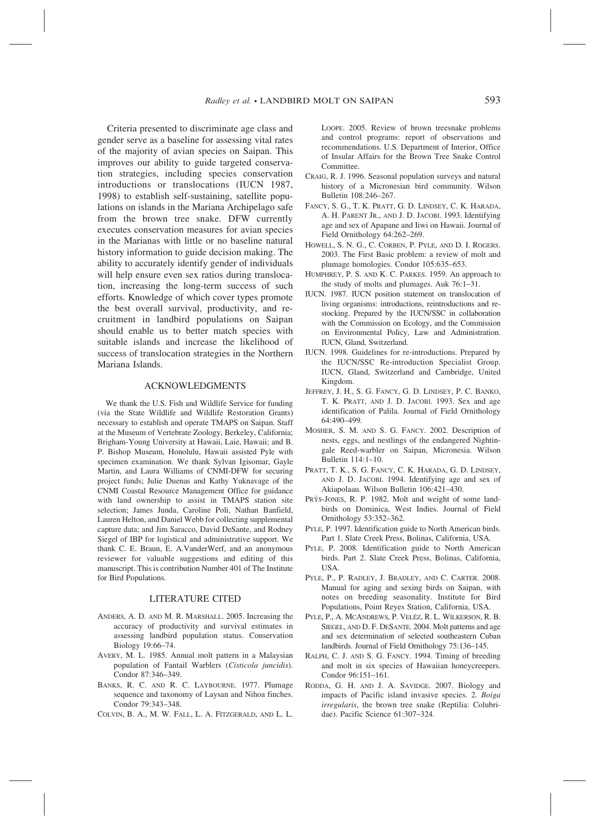Criteria presented to discriminate age class and gender serve as a baseline for assessing vital rates of the majority of avian species on Saipan. This improves our ability to guide targeted conservation strategies, including species conservation introductions or translocations (IUCN 1987, 1998) to establish self-sustaining, satellite populations on islands in the Mariana Archipelago safe from the brown tree snake. DFW currently executes conservation measures for avian species in the Marianas with little or no baseline natural history information to guide decision making. The ability to accurately identify gender of individuals will help ensure even sex ratios during translocation, increasing the long-term success of such efforts. Knowledge of which cover types promote the best overall survival, productivity, and recruitment in landbird populations on Saipan should enable us to better match species with suitable islands and increase the likelihood of success of translocation strategies in the Northern Mariana Islands.

### ACKNOWLEDGMENTS

We thank the U.S. Fish and Wildlife Service for funding (via the State Wildlife and Wildlife Restoration Grants) necessary to establish and operate TMAPS on Saipan. Staff at the Museum of Vertebrate Zoology, Berkeley, California; Brigham-Young University at Hawaii, Laie, Hawaii; and B. P. Bishop Museum, Honolulu, Hawaii assisted Pyle with specimen examination. We thank Sylvan Igisomar, Gayle Martin, and Laura Williams of CNMI-DFW for securing project funds; Julie Duenas and Kathy Yuknavage of the CNMI Coastal Resource Management Office for guidance with land ownership to assist in TMAPS station site selection; James Junda, Caroline Poli, Nathan Banfield, Lauren Helton, and Daniel Webb for collecting supplemental capture data; and Jim Saracco, David DeSante, and Rodney Siegel of IBP for logistical and administrative support. We thank C. E. Braun, E. A.VanderWerf, and an anonymous reviewer for valuable suggestions and editing of this manuscript. This is contribution Number 401 of The Institute for Bird Populations.

### LITERATURE CITED

- ANDERS, A. D. AND M. R. MARSHALL. 2005. Increasing the accuracy of productivity and survival estimates in assessing landbird population status. Conservation Biology 19:66–74.
- AVERY, M. L. 1985. Annual molt pattern in a Malaysian population of Fantail Warblers (Cisticola juncidis). Condor 87:346–349.
- BANKS, R. C. AND R. C. LAYBOURNE. 1977. Plumage sequence and taxonomy of Laysan and Nihoa finches. Condor 79:343–348.
- COLVIN, B. A., M. W. FALL, L. A. FITZGERALD, AND L. L.

LOOPE. 2005. Review of brown treesnake problems and control programs: report of observations and recommendations. U.S. Department of Interior, Office of Insular Affairs for the Brown Tree Snake Control Committee.

- CRAIG, R. J. 1996. Seasonal population surveys and natural history of a Micronesian bird community. Wilson Bulletin 108:246–267.
- FANCY, S. G., T. K. PRATT, G. D. LINDSEY, C. K. HARADA, A. H. PARENT JR., AND J. D. JACOBI. 1993. Identifying age and sex of Apapane and Iiwi on Hawaii. Journal of Field Ornithology 64:262–269.
- HOWELL, S. N. G., C. CORBEN, P. PYLE, AND D. I. ROGERS. 2003. The First Basic problem: a review of molt and plumage homologies. Condor 105:635–653.
- HUMPHREY, P. S. AND K. C. PARKES. 1959. An approach to the study of molts and plumages. Auk 76:1–31.
- IUCN. 1987. IUCN position statement on translocation of living organisms: introductions, reintroductions and restocking. Prepared by the IUCN/SSC in collaboration with the Commission on Ecology, and the Commission on Environmental Policy, Law and Administration. IUCN, Gland, Switzerland.
- IUCN. 1998. Guidelines for re-introductions. Prepared by the IUCN/SSC Re-introduction Specialist Group. IUCN, Gland, Switzerland and Cambridge, United Kingdom.
- JEFFREY, J. H., S. G. FANCY, G. D. LINDSEY, P. C. BANKO, T. K. PRATT, AND J. D. JACOBI. 1993. Sex and age identification of Palila. Journal of Field Ornithology 64:490–499.
- MOSHER, S. M. AND S. G. FANCY. 2002. Description of nests, eggs, and nestlings of the endangered Nightingale Reed-warbler on Saipan, Micronesia. Wilson Bulletin 114:1–10.
- PRATT, T. K., S. G. FANCY, C. K. HARADA, G. D. LINDSEY, AND J. D. JACOBI. 1994. Identifying age and sex of Akiapolaau. Wilson Bulletin 106:421–430.
- PRŶS-JONES, R. P. 1982. Molt and weight of some landbirds on Dominica, West Indies. Journal of Field Ornithology 53:352–362.
- PYLE, P. 1997. Identification guide to North American birds. Part 1. Slate Creek Press, Bolinas, California, USA.
- PYLE, P. 2008. Identification guide to North American birds. Part 2. Slate Creek Press, Bolinas, California, USA.
- PYLE, P., P. RADLEY, J. BRADLEY, AND C. CARTER. 2008. Manual for aging and sexing birds on Saipan, with notes on breeding seasonality. Institute for Bird Populations, Point Reyes Station, California, USA.
- PYLE, P., A. MCANDREWS, P. VELÉZ, R. L. WILKERSON, R. B. SIEGEL, AND D. F. DESANTE. 2004. Molt patterns and age and sex determination of selected southeastern Cuban landbirds. Journal of Field Ornithology 75:136–145.
- RALPH, C. J. AND S. G. FANCY. 1994. Timing of breeding and molt in six species of Hawaiian honeycreepers. Condor 96:151–161.
- RODDA, G. H. AND J. A. SAVIDGE. 2007. Biology and impacts of Pacific island invasive species. 2. Boiga irregularis, the brown tree snake (Reptilia: Colubridae). Pacific Science 61:307–324.